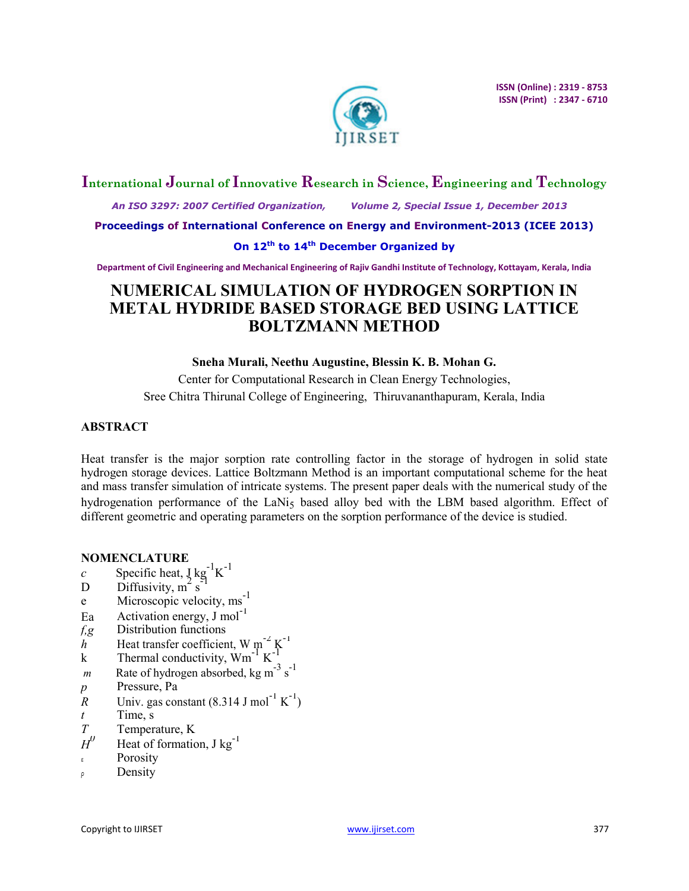

# **International Journal of Innovative Research in Science, Engineering and Technology**

 *An ISO 3297: 2007 Certified Organization, Volume 2, Special Issue 1, December 2013* 

**Proceedings of International Conference on Energy and Environment-2013 (ICEE 2013)** 

# **On 12th to 14th December Organized by**

**Department of Civil Engineering and Mechanical Engineering of Rajiv Gandhi Institute of Technology, Kottayam, Kerala, India** 

# **NUMERICAL SIMULATION OF HYDROGEN SORPTION IN METAL HYDRIDE BASED STORAGE BED USING LATTICE BOLTZMANN METHOD**

# **Sneha Murali, Neethu Augustine, Blessin K. B. Mohan G.**

Center for Computational Research in Clean Energy Technologies, Sree Chitra Thirunal College of Engineering, Thiruvananthapuram, Kerala, India

# **ABSTRACT**

Heat transfer is the major sorption rate controlling factor in the storage of hydrogen in solid state hydrogen storage devices. Lattice Boltzmann Method is an important computational scheme for the heat and mass transfer simulation of intricate systems. The present paper deals with the numerical study of the hydrogenation performance of the LaNi<sub>5</sub> based alloy bed with the LBM based algorithm. Effect of different geometric and operating parameters on the sorption performance of the device is studied.

# **NOMENCLATURE**

- $c$  Specific heat,  $\int g^{-1}K^{-1}$
- D Diffusivity,  $m^2$  s -1
- D Diffusivity,  $m^2 s^{-1}$ <br>e Microscopic velocity, ms<sup>-1</sup>
- Ea Activation energy,  $J \text{ mol}^{-1}$
- *f,g* Distribution functions
- $h$ <sup>-</sup> Heat transfer coefficient, W m<sup>-2</sup> K<sup>-1</sup>
- k Thermal conductivity,  $Wm^{-1} K^{-1}$
- *m* Rate of hydrogen absorbed, kg m<sup>-3</sup> s<sup>-1</sup>
- *p* Pressure, Pa
- *R* Univ. gas constant  $(8.314 \text{ J mol}^{-1} \text{ K}^{-1})$
- *t* Time, s
- *T* Temperature, K
- $H^0$ Heat of formation, J kg<sup>-1</sup>
- Porosity
- ρ Density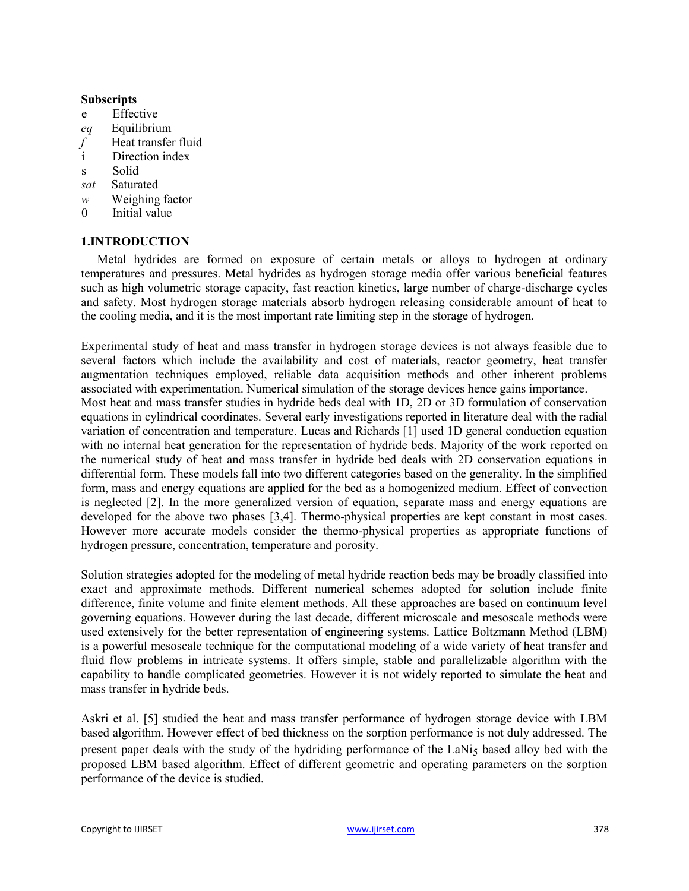### **Subscripts**

- e Effective
- *eq* Equilibrium
- *f* Heat transfer fluid
- i Direction index
- s Solid
- *sat* Saturated
- *w* Weighing factor
- 0 Initial value

# **1.INTRODUCTION**

Metal hydrides are formed on exposure of certain metals or alloys to hydrogen at ordinary temperatures and pressures. Metal hydrides as hydrogen storage media offer various beneficial features such as high volumetric storage capacity, fast reaction kinetics, large number of charge-discharge cycles and safety. Most hydrogen storage materials absorb hydrogen releasing considerable amount of heat to the cooling media, and it is the most important rate limiting step in the storage of hydrogen.

Experimental study of heat and mass transfer in hydrogen storage devices is not always feasible due to several factors which include the availability and cost of materials, reactor geometry, heat transfer augmentation techniques employed, reliable data acquisition methods and other inherent problems associated with experimentation. Numerical simulation of the storage devices hence gains importance. Most heat and mass transfer studies in hydride beds deal with 1D, 2D or 3D formulation of conservation equations in cylindrical coordinates. Several early investigations reported in literature deal with the radial variation of concentration and temperature. Lucas and Richards [1] used 1D general conduction equation with no internal heat generation for the representation of hydride beds. Majority of the work reported on the numerical study of heat and mass transfer in hydride bed deals with 2D conservation equations in differential form. These models fall into two different categories based on the generality. In the simplified form, mass and energy equations are applied for the bed as a homogenized medium. Effect of convection is neglected [2]. In the more generalized version of equation, separate mass and energy equations are developed for the above two phases [3,4]. Thermo-physical properties are kept constant in most cases. However more accurate models consider the thermo-physical properties as appropriate functions of hydrogen pressure, concentration, temperature and porosity.

Solution strategies adopted for the modeling of metal hydride reaction beds may be broadly classified into exact and approximate methods. Different numerical schemes adopted for solution include finite difference, finite volume and finite element methods. All these approaches are based on continuum level governing equations. However during the last decade, different microscale and mesoscale methods were used extensively for the better representation of engineering systems. Lattice Boltzmann Method (LBM) is a powerful mesoscale technique for the computational modeling of a wide variety of heat transfer and fluid flow problems in intricate systems. It offers simple, stable and parallelizable algorithm with the capability to handle complicated geometries. However it is not widely reported to simulate the heat and mass transfer in hydride beds.

Askri et al. [5] studied the heat and mass transfer performance of hydrogen storage device with LBM based algorithm. However effect of bed thickness on the sorption performance is not duly addressed. The present paper deals with the study of the hydriding performance of the LaNi<sub>5</sub> based alloy bed with the proposed LBM based algorithm. Effect of different geometric and operating parameters on the sorption performance of the device is studied.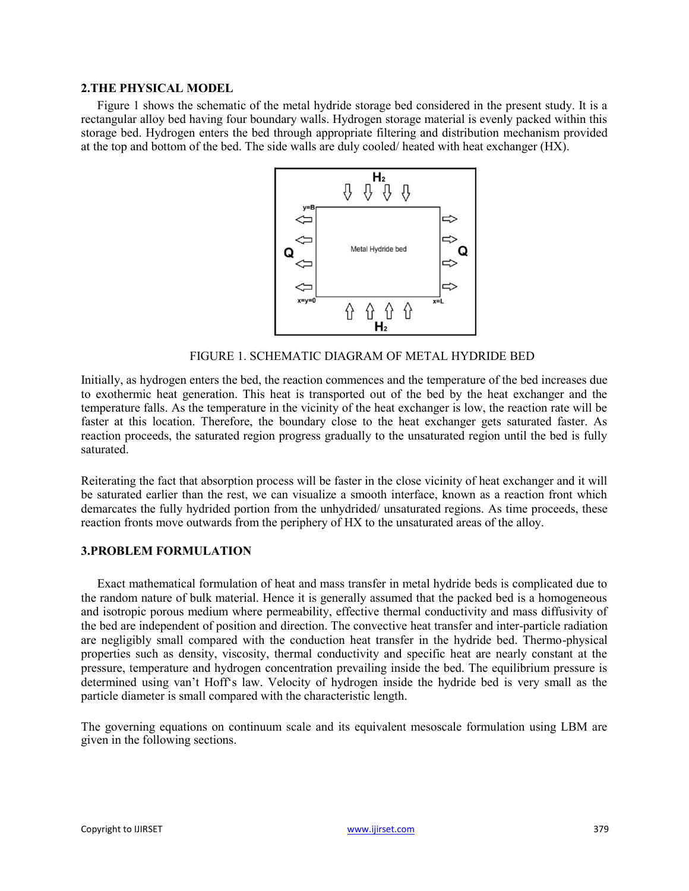### **2.THE PHYSICAL MODEL**

Figure 1 shows the schematic of the metal hydride storage bed considered in the present study. It is a rectangular alloy bed having four boundary walls. Hydrogen storage material is evenly packed within this storage bed. Hydrogen enters the bed through appropriate filtering and distribution mechanism provided at the top and bottom of the bed. The side walls are duly cooled/ heated with heat exchanger (HX).



FIGURE 1. SCHEMATIC DIAGRAM OF METAL HYDRIDE BED

Initially, as hydrogen enters the bed, the reaction commences and the temperature of the bed increases due to exothermic heat generation. This heat is transported out of the bed by the heat exchanger and the temperature falls. As the temperature in the vicinity of the heat exchanger is low, the reaction rate will be faster at this location. Therefore, the boundary close to the heat exchanger gets saturated faster. As reaction proceeds, the saturated region progress gradually to the unsaturated region until the bed is fully saturated.

Reiterating the fact that absorption process will be faster in the close vicinity of heat exchanger and it will be saturated earlier than the rest, we can visualize a smooth interface, known as a reaction front which demarcates the fully hydrided portion from the unhydrided/ unsaturated regions. As time proceeds, these reaction fronts move outwards from the periphery of HX to the unsaturated areas of the alloy.

# **3.PROBLEM FORMULATION**

Exact mathematical formulation of heat and mass transfer in metal hydride beds is complicated due to the random nature of bulk material. Hence it is generally assumed that the packed bed is a homogeneous and isotropic porous medium where permeability, effective thermal conductivity and mass diffusivity of the bed are independent of position and direction. The convective heat transfer and inter-particle radiation are negligibly small compared with the conduction heat transfer in the hydride bed. Thermo-physical properties such as density, viscosity, thermal conductivity and specific heat are nearly constant at the pressure, temperature and hydrogen concentration prevailing inside the bed. The equilibrium pressure is determined using van't Hoff's law. Velocity of hydrogen inside the hydride bed is very small as the particle diameter is small compared with the characteristic length.

The governing equations on continuum scale and its equivalent mesoscale formulation using LBM are given in the following sections.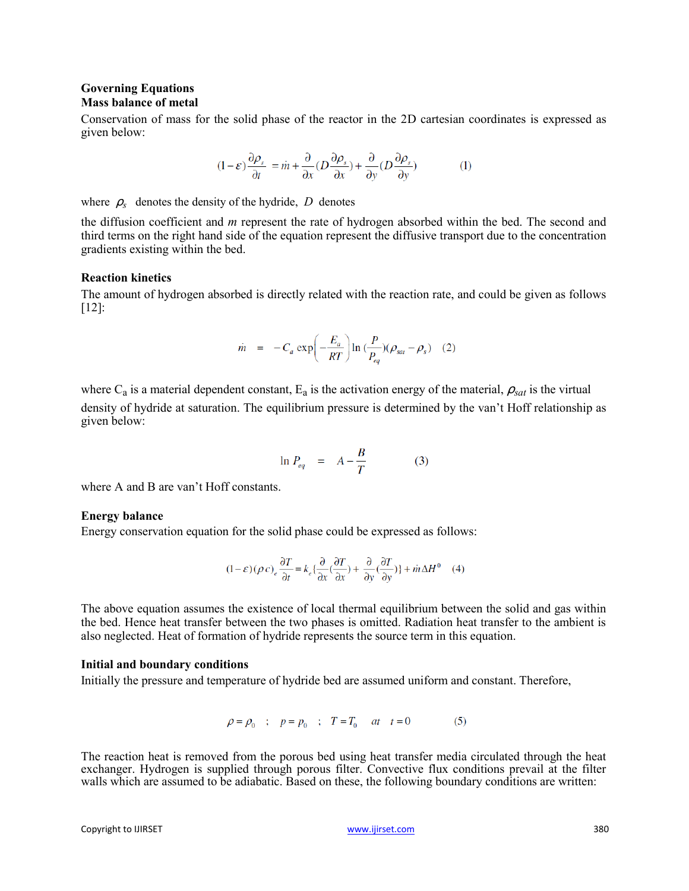### **Governing Equations Mass balance of metal**

Conservation of mass for the solid phase of the reactor in the 2D cartesian coordinates is expressed as given below:

$$
(1 - \varepsilon) \frac{\partial \rho_s}{\partial t} = \dot{m} + \frac{\partial}{\partial x} (D \frac{\partial \rho_s}{\partial x}) + \frac{\partial}{\partial y} (D \frac{\partial \rho_s}{\partial y})
$$
(1)

where  $\rho_s$  denotes the density of the hydride, *D* denotes

the diffusion coefficient and *m* represent the rate of hydrogen absorbed within the bed. The second and third terms on the right hand side of the equation represent the diffusive transport due to the concentration gradients existing within the bed.

### **Reaction kinetics**

The amount of hydrogen absorbed is directly related with the reaction rate, and could be given as follows [12]:

$$
\dot{m} = -C_a \exp\left(-\frac{E_a}{RT}\right) \ln\left(\frac{P}{P_{eq}}\right) (\rho_{sat} - \rho_s) \quad (2)
$$

where  $C_a$  is a material dependent constant,  $E_a$  is the activation energy of the material,  $\rho_{sat}$  is the virtual density of hydride at saturation. The equilibrium pressure is determined by the van't Hoff relationship as given below:

$$
\ln P_{eq} = A - \frac{B}{T} \tag{3}
$$

where A and B are van't Hoff constants.

#### **Energy balance**

Energy conservation equation for the solid phase could be expressed as follows:

$$
(1-\varepsilon)(\rho c)_e\frac{\partial T}{\partial t}=k_e\{\frac{\partial}{\partial x}(\frac{\partial T}{\partial x})+\frac{\partial}{\partial y}(\frac{\partial T}{\partial y})\}+in\Delta H^0\quad \ (4)
$$

The above equation assumes the existence of local thermal equilibrium between the solid and gas within the bed. Hence heat transfer between the two phases is omitted. Radiation heat transfer to the ambient is also neglected. Heat of formation of hydride represents the source term in this equation.

#### **Initial and boundary conditions**

Initially the pressure and temperature of hydride bed are assumed uniform and constant. Therefore,

$$
\rho = \rho_0 \quad ; \quad p = p_0 \quad ; \quad T = T_0 \quad at \quad t = 0 \tag{5}
$$

The reaction heat is removed from the porous bed using heat transfer media circulated through the heat exchanger. Hydrogen is supplied through porous filter. Convective flux conditions prevail at the filter walls which are assumed to be adiabatic. Based on these, the following boundary conditions are written: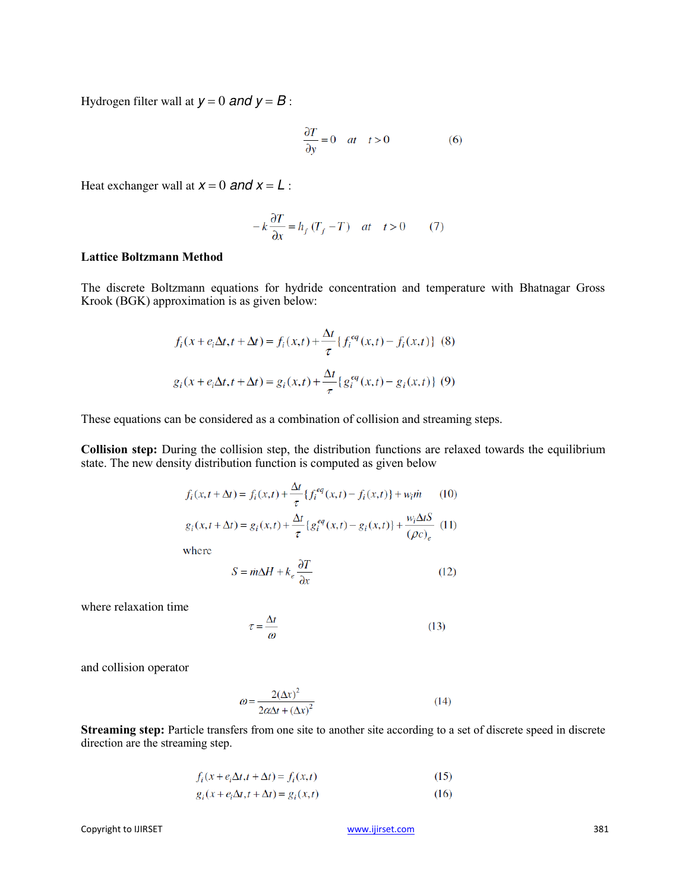Hydrogen filter wall at  $y = 0$  *and*  $y = B$ :

$$
\frac{\partial T}{\partial y} = 0 \quad at \quad t > 0 \tag{6}
$$

Heat exchanger wall at  $x = 0$  and  $x = L$ :

$$
-k\frac{\partial T}{\partial x} = h_f(T_f - T) \quad at \quad t > 0 \tag{7}
$$

### **Lattice Boltzmann Method**

The discrete Boltzmann equations for hydride concentration and temperature with Bhatnagar Gross Krook (BGK) approximation is as given below:

$$
f_i(x + e_i \Delta t, t + \Delta t) = f_i(x, t) + \frac{\Delta t}{\tau} \{ f_i^{eq}(x, t) - f_i(x, t) \} (8)
$$
  

$$
g_i(x + e_i \Delta t, t + \Delta t) = g_i(x, t) + \frac{\Delta t}{\tau} \{ g_i^{eq}(x, t) - g_i(x, t) \} (9)
$$

These equations can be considered as a combination of collision and streaming steps.

**Collision step:** During the collision step, the distribution functions are relaxed towards the equilibrium state. The new density distribution function is computed as given below

$$
f_i(x, t + \Delta t) = f_i(x, t) + \frac{\Delta t}{\tau} \{ f_i^{eq}(x, t) - f_i(x, t) \} + w_i \dot{m}
$$
 (10)  

$$
g_i(x, t + \Delta t) = g_i(x, t) + \frac{\Delta t}{\tau} \{ g_i^{eq}(x, t) - g_i(x, t) \} + \frac{w_i \Delta t S}{(\rho c)_e}
$$
 (11)

where

$$
S = \dot{m}\Delta H + k_e \frac{\partial T}{\partial x} \tag{12}
$$

where relaxation time

$$
\tau = \frac{\Delta t}{\omega} \tag{13}
$$

and collision operator

$$
\omega = \frac{2(\Delta x)^2}{2\alpha \Delta t + (\Delta x)^2} \tag{14}
$$

**Streaming step:** Particle transfers from one site to another site according to a set of discrete speed in discrete direction are the streaming step.

$$
f_i(x + e_i \Delta t, t + \Delta t) = f_i(x, t)
$$
\n(15)

$$
g_i(x + e_i \Delta t, t + \Delta t) = g_i(x, t)
$$
\n(16)

[www.ijirset.com](http://www.ijirset.com/) 381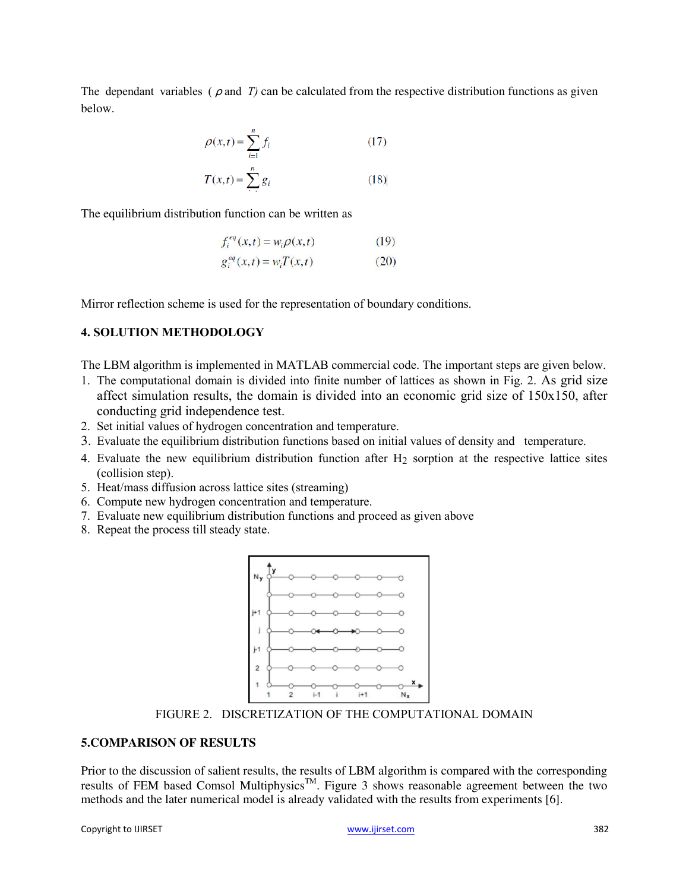The dependant variables ( $\rho$  and *T)* can be calculated from the respective distribution functions as given below.

$$
\rho(x,t) = \sum_{i=1}^{n} f_i
$$
 (17)  

$$
T(x,t) = \sum_{i=1}^{n} g_i
$$
 (18)

The equilibrium distribution function can be written as

$$
f_i^{eq}(x,t) = w_i \rho(x,t) \tag{19}
$$

$$
g_i^{eq}(x,t) = w_i T(x,t)
$$
 (20)

Mirror reflection scheme is used for the representation of boundary conditions.

### **4. SOLUTION METHODOLOGY**

The LBM algorithm is implemented in MATLAB commercial code. The important steps are given below.

- 1. The computational domain is divided into finite number of lattices as shown in Fig. 2. As grid size affect simulation results, the domain is divided into an economic grid size of 150x150, after conducting grid independence test.
- 2. Set initial values of hydrogen concentration and temperature.
- 3. Evaluate the equilibrium distribution functions based on initial values of density and temperature.
- 4. Evaluate the new equilibrium distribution function after  $H_2$  sorption at the respective lattice sites (collision step).
- 5. Heat/mass diffusion across lattice sites (streaming)
- 6. Compute new hydrogen concentration and temperature.
- 7. Evaluate new equilibrium distribution functions and proceed as given above
- 8. Repeat the process till steady state.



FIGURE 2. DISCRETIZATION OF THE COMPUTATIONAL DOMAIN

# **5.COMPARISON OF RESULTS**

Prior to the discussion of salient results, the results of LBM algorithm is compared with the corresponding results of FEM based Comsol Multiphysics<sup>™</sup>. Figure 3 shows reasonable agreement between the two methods and the later numerical model is already validated with the results from experiments [6].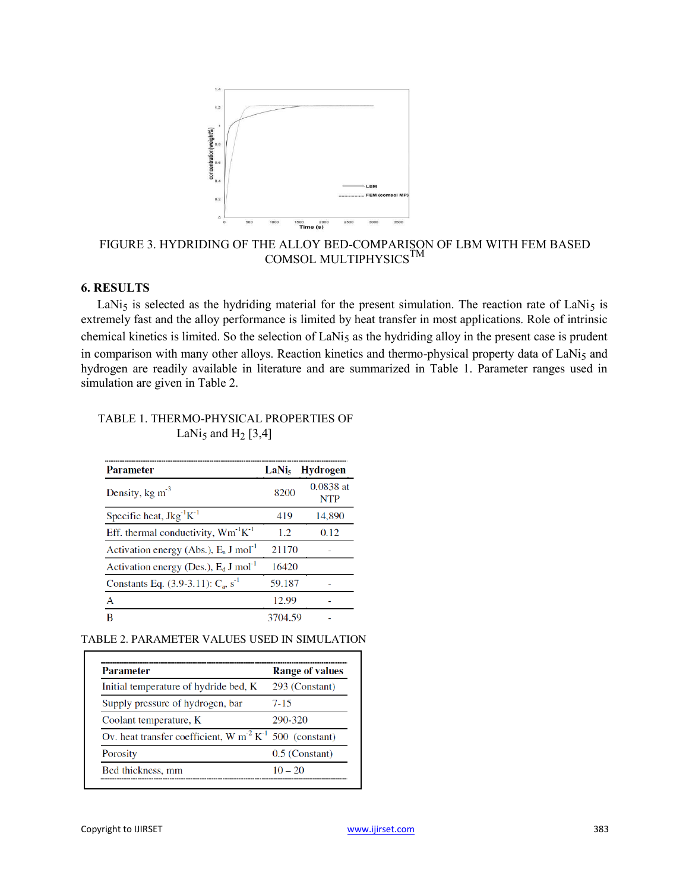

FIGURE 3. HYDRIDING OF THE ALLOY BED-COMPARISON OF LBM WITH FEM BASED COMSOL MULTIPHYSICS $^{\text{\tiny{\text{TM}}}}$ 

# **6. RESULTS**

LaNi<sub>5</sub> is selected as the hydriding material for the present simulation. The reaction rate of LaNi<sub>5</sub> is extremely fast and the alloy performance is limited by heat transfer in most applications. Role of intrinsic chemical kinetics is limited. So the selection of LaNi<sub>5</sub> as the hydriding alloy in the present case is prudent in comparison with many other alloys. Reaction kinetics and thermo-physical property data of LaNi<sub>5</sub> and hydrogen are readily available in literature and are summarized in Table 1. Parameter ranges used in simulation are given in Table 2.

| <b>Parameter</b>                                              | LaNi <sub>s</sub> | <b>Hydrogen</b>         |
|---------------------------------------------------------------|-------------------|-------------------------|
| Density, $kg \text{ m}^{-3}$                                  | 8200              | 0.0838 at<br><b>NTP</b> |
| Specific heat, $Jkg^{-1}K^{-1}$                               | 419               | 14,890                  |
| Eff. thermal conductivity, $Wm^{-1}K^{-1}$                    | 1.2               | 0.12                    |
| Activation energy (Abs.), $E_a$ J mol <sup>-1</sup>           | 21170             |                         |
| Activation energy (Des.), $E_d$ J mol <sup>-1</sup>           | 16420             |                         |
| Constants Eq. $(3.9-3.11)$ : C <sub>a</sub> , s <sup>-1</sup> | 59.187            |                         |
| A                                                             | 12.99             |                         |
| R                                                             | 3704.59           |                         |

### TABLE 1. THERMO-PHYSICAL PROPERTIES OF LaNi<sub>5</sub> and H<sub>2</sub> [3,4]

TABLE 2. PARAMETER VALUES USED IN SIMULATION

| <b>Parameter</b>                                                               | <b>Range of values</b> |
|--------------------------------------------------------------------------------|------------------------|
| Initial temperature of hydride bed, K                                          | 293 (Constant)         |
| Supply pressure of hydrogen, bar                                               | 7-15                   |
| Coolant temperature, K                                                         | 290-320                |
| Ov. heat transfer coefficient, W m <sup>2</sup> K <sup>-1</sup> 500 (constant) |                        |
| <b>Porosity</b>                                                                | $0.5$ (Constant)       |
| Bed thickness, mm                                                              | $10 - 20$              |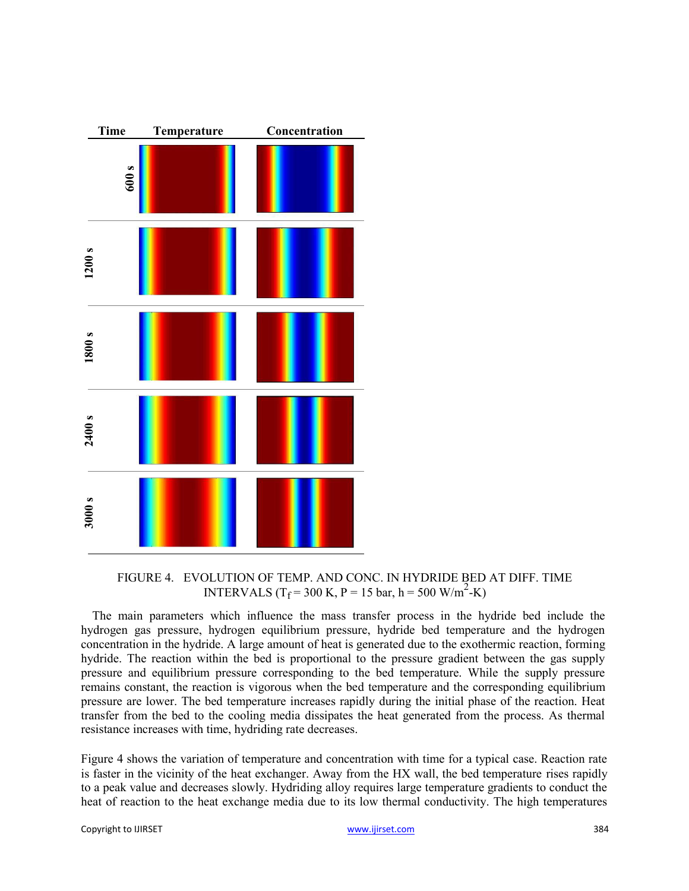

FIGURE 4. EVOLUTION OF TEMP. AND CONC. IN HYDRIDE BED AT DIFF. TIME INTERVALS (T<sub>f</sub> = 300 K, P = 15 bar, h = 500 W/m<sup>2</sup>-K)

The main parameters which influence the mass transfer process in the hydride bed include the hydrogen gas pressure, hydrogen equilibrium pressure, hydride bed temperature and the hydrogen concentration in the hydride. A large amount of heat is generated due to the exothermic reaction, forming hydride. The reaction within the bed is proportional to the pressure gradient between the gas supply pressure and equilibrium pressure corresponding to the bed temperature. While the supply pressure remains constant, the reaction is vigorous when the bed temperature and the corresponding equilibrium pressure are lower. The bed temperature increases rapidly during the initial phase of the reaction. Heat transfer from the bed to the cooling media dissipates the heat generated from the process. As thermal resistance increases with time, hydriding rate decreases.

Figure 4 shows the variation of temperature and concentration with time for a typical case. Reaction rate is faster in the vicinity of the heat exchanger. Away from the HX wall, the bed temperature rises rapidly to a peak value and decreases slowly. Hydriding alloy requires large temperature gradients to conduct the heat of reaction to the heat exchange media due to its low thermal conductivity. The high temperatures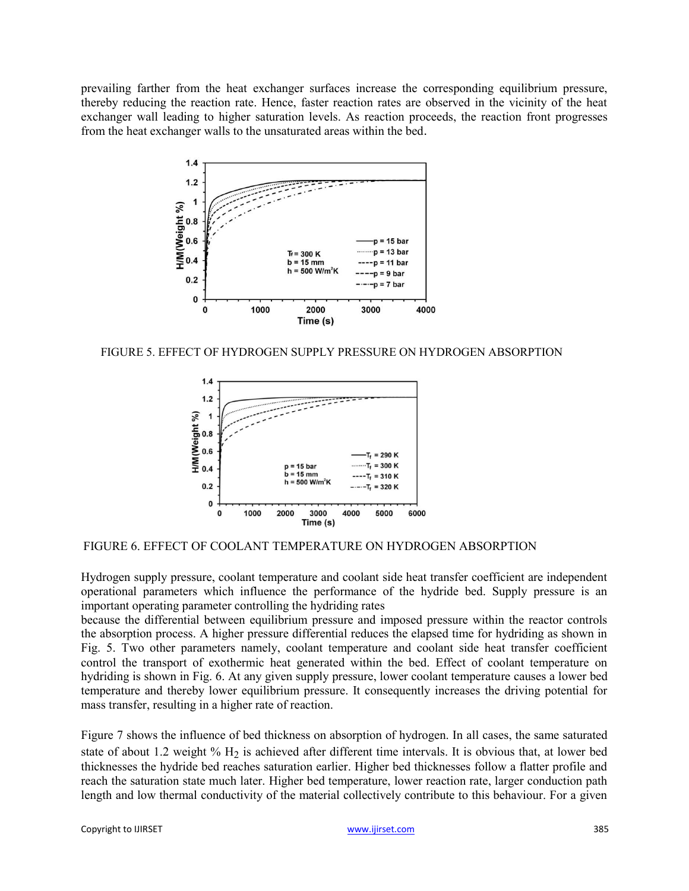prevailing farther from the heat exchanger surfaces increase the corresponding equilibrium pressure, thereby reducing the reaction rate. Hence, faster reaction rates are observed in the vicinity of the heat exchanger wall leading to higher saturation levels. As reaction proceeds, the reaction front progresses from the heat exchanger walls to the unsaturated areas within the bed.



FIGURE 5. EFFECT OF HYDROGEN SUPPLY PRESSURE ON HYDROGEN ABSORPTION



# FIGURE 6. EFFECT OF COOLANT TEMPERATURE ON HYDROGEN ABSORPTION

Hydrogen supply pressure, coolant temperature and coolant side heat transfer coefficient are independent operational parameters which influence the performance of the hydride bed. Supply pressure is an important operating parameter controlling the hydriding rates

because the differential between equilibrium pressure and imposed pressure within the reactor controls the absorption process. A higher pressure differential reduces the elapsed time for hydriding as shown in Fig. 5. Two other parameters namely, coolant temperature and coolant side heat transfer coefficient control the transport of exothermic heat generated within the bed. Effect of coolant temperature on hydriding is shown in Fig. 6. At any given supply pressure, lower coolant temperature causes a lower bed temperature and thereby lower equilibrium pressure. It consequently increases the driving potential for mass transfer, resulting in a higher rate of reaction.

Figure 7 shows the influence of bed thickness on absorption of hydrogen. In all cases, the same saturated state of about 1.2 weight %  $H_2$  is achieved after different time intervals. It is obvious that, at lower bed thicknesses the hydride bed reaches saturation earlier. Higher bed thicknesses follow a flatter profile and reach the saturation state much later. Higher bed temperature, lower reaction rate, larger conduction path length and low thermal conductivity of the material collectively contribute to this behaviour. For a given